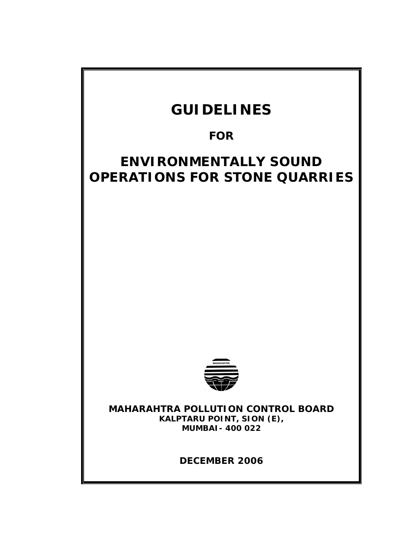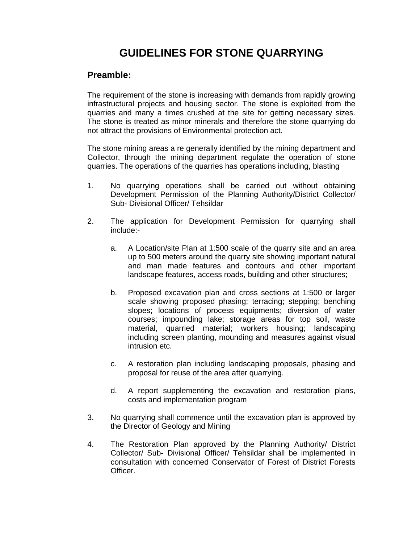# **GUIDELINES FOR STONE QUARRYING**

# **Preamble:**

The requirement of the stone is increasing with demands from rapidly growing infrastructural projects and housing sector. The stone is exploited from the quarries and many a times crushed at the site for getting necessary sizes. The stone is treated as minor minerals and therefore the stone quarrying do not attract the provisions of Environmental protection act.

The stone mining areas a re generally identified by the mining department and Collector, through the mining department regulate the operation of stone quarries. The operations of the quarries has operations including, blasting

- 1. No quarrying operations shall be carried out without obtaining Development Permission of the Planning Authority/District Collector/ Sub- Divisional Officer/ Tehsildar
- 2. The application for Development Permission for quarrying shall include:
	- a. A Location/site Plan at 1:500 scale of the quarry site and an area up to 500 meters around the quarry site showing important natural and man made features and contours and other important landscape features, access roads, building and other structures;
	- b. Proposed excavation plan and cross sections at 1:500 or larger scale showing proposed phasing; terracing; stepping; benching slopes; locations of process equipments; diversion of water courses; impounding lake; storage areas for top soil, waste material, quarried material; workers housing; landscaping including screen planting, mounding and measures against visual intrusion etc.
	- c. A restoration plan including landscaping proposals, phasing and proposal for reuse of the area after quarrying.
	- d. A report supplementing the excavation and restoration plans, costs and implementation program
- 3. No quarrying shall commence until the excavation plan is approved by the Director of Geology and Mining
- 4. The Restoration Plan approved by the Planning Authority/ District Collector/ Sub- Divisional Officer/ Tehsildar shall be implemented in consultation with concerned Conservator of Forest of District Forests Officer.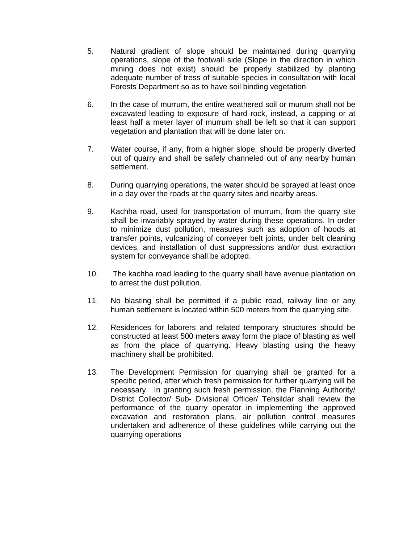- 5. Natural gradient of slope should be maintained during quarrying operations, slope of the footwall side (Slope in the direction in which mining does not exist) should be properly stabilized by planting adequate number of tress of suitable species in consultation with local Forests Department so as to have soil binding vegetation
- 6. In the case of murrum, the entire weathered soil or murum shall not be excavated leading to exposure of hard rock, instead, a capping or at least half a meter layer of murrum shall be left so that it can support vegetation and plantation that will be done later on.
- 7. Water course, if any, from a higher slope, should be properly diverted out of quarry and shall be safely channeled out of any nearby human settlement.
- 8. During quarrying operations, the water should be sprayed at least once in a day over the roads at the quarry sites and nearby areas.
- 9. Kachha road, used for transportation of murrum, from the quarry site shall be invariably sprayed by water during these operations. In order to minimize dust pollution, measures such as adoption of hoods at transfer points, vulcanizing of conveyer belt joints, under belt cleaning devices, and installation of dust suppressions and/or dust extraction system for conveyance shall be adopted.
- 10. The kachha road leading to the quarry shall have avenue plantation on to arrest the dust pollution.
- 11. No blasting shall be permitted if a public road, railway line or any human settlement is located within 500 meters from the quarrying site.
- 12. Residences for laborers and related temporary structures should be constructed at least 500 meters away form the place of blasting as well as from the place of quarrying. Heavy blasting using the heavy machinery shall be prohibited.
- 13. The Development Permission for quarrying shall be granted for a specific period, after which fresh permission for further quarrying will be necessary. In granting such fresh permission, the Planning Authority/ District Collector/ Sub- Divisional Officer/ Tehsildar shall review the performance of the quarry operator in implementing the approved excavation and restoration plans, air pollution control measures undertaken and adherence of these guidelines while carrying out the quarrying operations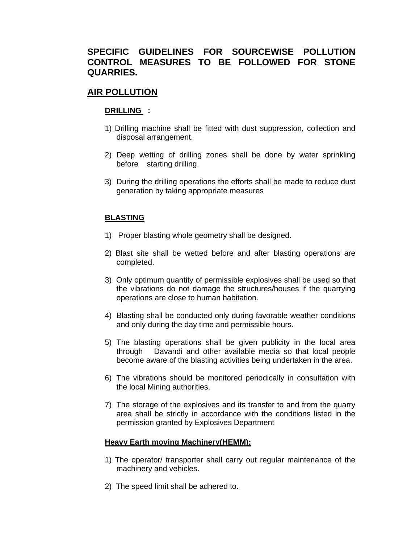# **SPECIFIC GUIDELINES FOR SOURCEWISE POLLUTION CONTROL MEASURES TO BE FOLLOWED FOR STONE QUARRIES.**

# **AIR POLLUTION**

### **DRILLING :**

- 1) Drilling machine shall be fitted with dust suppression, collection and disposal arrangement.
- 2) Deep wetting of drilling zones shall be done by water sprinkling before starting drilling.
- 3) During the drilling operations the efforts shall be made to reduce dust generation by taking appropriate measures

### **BLASTING**

- 1) Proper blasting whole geometry shall be designed.
- 2) Blast site shall be wetted before and after blasting operations are completed.
- 3) Only optimum quantity of permissible explosives shall be used so that the vibrations do not damage the structures/houses if the quarrying operations are close to human habitation.
- 4) Blasting shall be conducted only during favorable weather conditions and only during the day time and permissible hours.
- 5) The blasting operations shall be given publicity in the local area through Davandi and other available media so that local people become aware of the blasting activities being undertaken in the area.
- 6) The vibrations should be monitored periodically in consultation with the local Mining authorities.
- 7) The storage of the explosives and its transfer to and from the quarry area shall be strictly in accordance with the conditions listed in the permission granted by Explosives Department

### **Heavy Earth moving Machinery(HEMM):**

- 1) The operator/ transporter shall carry out regular maintenance of the machinery and vehicles.
- 2) The speed limit shall be adhered to.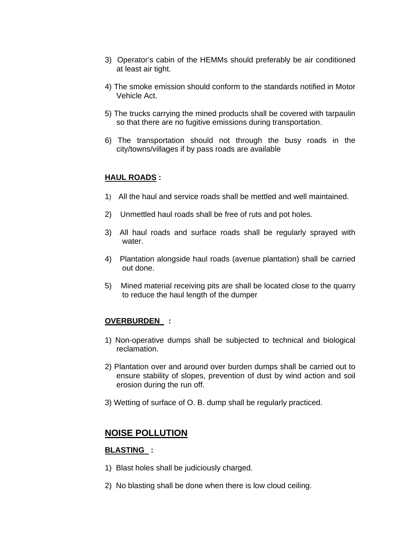- 3) Operator's cabin of the HEMMs should preferably be air conditioned at least air tight.
- 4) The smoke emission should conform to the standards notified in Motor Vehicle Act.
- 5) The trucks carrying the mined products shall be covered with tarpaulin so that there are no fugitive emissions during transportation.
- 6) The transportation should not through the busy roads in the city/towns/villages if by pass roads are available

### **HAUL ROADS :**

- 1) All the haul and service roads shall be mettled and well maintained.
- 2) Unmettled haul roads shall be free of ruts and pot holes.
- 3) All haul roads and surface roads shall be regularly sprayed with water.
- 4) Plantation alongside haul roads (avenue plantation) shall be carried out done.
- 5) Mined material receiving pits are shall be located close to the quarry to reduce the haul length of the dumper

## **OVERBURDEN :**

- 1) Non-operative dumps shall be subjected to technical and biological reclamation.
- 2) Plantation over and around over burden dumps shall be carried out to ensure stability of slopes, prevention of dust by wind action and soil erosion during the run off.
- 3) Wetting of surface of O. B. dump shall be regularly practiced.

# **NOISE POLLUTION**

### **BLASTING :**

- 1) Blast holes shall be judiciously charged.
- 2) No blasting shall be done when there is low cloud ceiling.